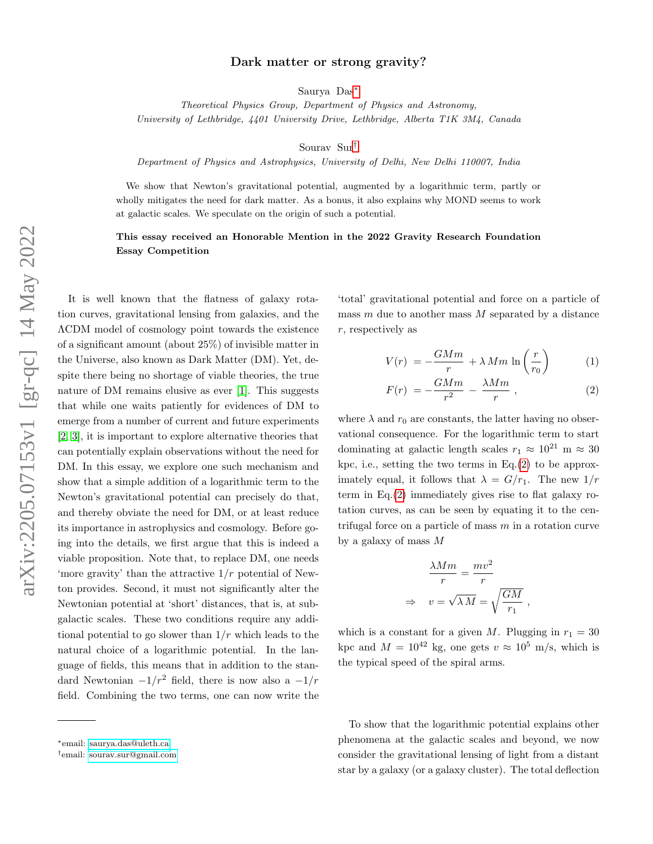## Dark matter or strong gravity?

Saurya Das[∗](#page-0-0)

Theoretical Physics Group, Department of Physics and Astronomy, University of Lethbridge, 4401 University Drive, Lethbridge, Alberta T1K 3M4, Canada

Sourav Sur[†](#page-0-1)

Department of Physics and Astrophysics, University of Delhi, New Delhi 110007, India

We show that Newton's gravitational potential, augmented by a logarithmic term, partly or wholly mitigates the need for dark matter. As a bonus, it also explains why MOND seems to work at galactic scales. We speculate on the origin of such a potential.

## This essay received an Honorable Mention in the 2022 Gravity Research Foundation Essay Competition

It is well known that the flatness of galaxy rotation curves, gravitational lensing from galaxies, and the ΛCDM model of cosmology point towards the existence of a significant amount (about 25%) of invisible matter in the Universe, also known as Dark Matter (DM). Yet, despite there being no shortage of viable theories, the true nature of DM remains elusive as ever [\[1\]](#page-2-0). This suggests that while one waits patiently for evidences of DM to emerge from a number of current and future experiments [\[2,](#page-2-1) [3\]](#page-2-2), it is important to explore alternative theories that can potentially explain observations without the need for DM. In this essay, we explore one such mechanism and show that a simple addition of a logarithmic term to the Newton's gravitational potential can precisely do that, and thereby obviate the need for DM, or at least reduce its importance in astrophysics and cosmology. Before going into the details, we first argue that this is indeed a viable proposition. Note that, to replace DM, one needs 'more gravity' than the attractive  $1/r$  potential of Newton provides. Second, it must not significantly alter the Newtonian potential at 'short' distances, that is, at subgalactic scales. These two conditions require any additional potential to go slower than  $1/r$  which leads to the natural choice of a logarithmic potential. In the language of fields, this means that in addition to the standard Newtonian  $-1/r^2$  field, there is now also a  $-1/r$ field. Combining the two terms, one can now write the

'total' gravitational potential and force on a particle of mass  $m$  due to another mass  $M$  separated by a distance r, respectively as

<span id="page-0-3"></span>
$$
V(r) = -\frac{GMm}{r} + \lambda Mm \ln\left(\frac{r}{r_0}\right) \tag{1}
$$

<span id="page-0-2"></span>
$$
F(r) = -\frac{GMm}{r^2} - \frac{\lambda Mm}{r}, \qquad (2)
$$

where  $\lambda$  and  $r_0$  are constants, the latter having no observational consequence. For the logarithmic term to start dominating at galactic length scales  $r_1 \approx 10^{21}$  m  $\approx 30$ kpc, i.e., setting the two terms in  $Eq.(2)$  $Eq.(2)$  to be approximately equal, it follows that  $\lambda = G/r_1$ . The new  $1/r$ term in Eq.[\(2\)](#page-0-2) immediately gives rise to flat galaxy rotation curves, as can be seen by equating it to the centrifugal force on a particle of mass  $m$  in a rotation curve by a galaxy of mass M

$$
\frac{\lambda Mm}{r} = \frac{mv^2}{r}
$$

$$
\Rightarrow v = \sqrt{\lambda M} = \sqrt{\frac{GM}{r_1}},
$$

which is a constant for a given M. Plugging in  $r_1 = 30$ kpc and  $M = 10^{42}$  kg, one gets  $v \approx 10^5$  m/s, which is the typical speed of the spiral arms.

To show that the logarithmic potential explains other phenomena at the galactic scales and beyond, we now consider the gravitational lensing of light from a distant star by a galaxy (or a galaxy cluster). The total deflection

<span id="page-0-0"></span><sup>∗</sup>email: [saurya.das@uleth.ca](mailto:saurya.das@uleth.ca)

<span id="page-0-1"></span><sup>†</sup>email: [sourav.sur@gmail.com](mailto:sourav.sur@gmail.com)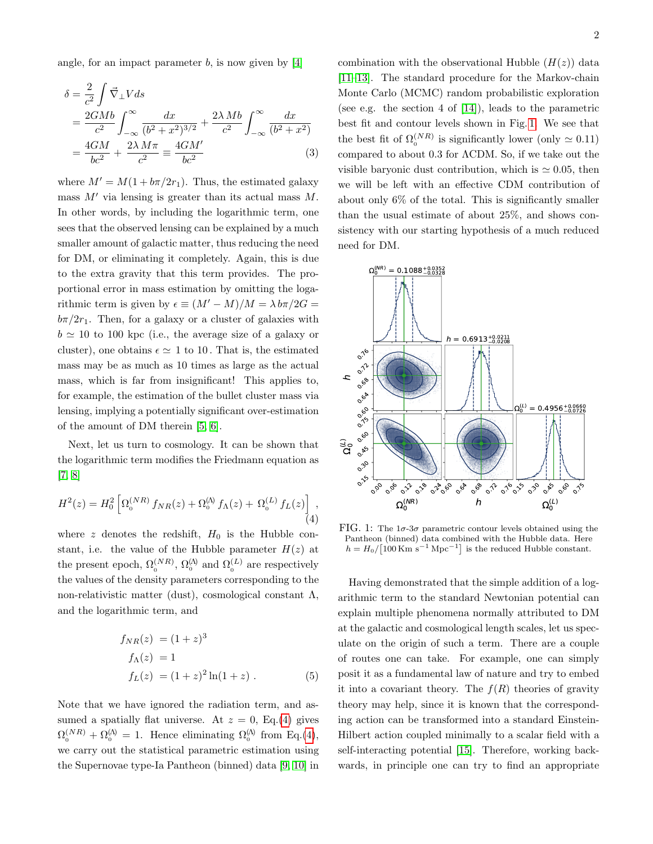angle, for an impact parameter  $b$ , is now given by [\[4\]](#page-2-3)

$$
\delta = \frac{2}{c^2} \int \vec{\nabla}_{\perp} V ds
$$
  
= 
$$
\frac{2GMb}{c^2} \int_{-\infty}^{\infty} \frac{dx}{(b^2 + x^2)^{3/2}} + \frac{2\lambda Mb}{c^2} \int_{-\infty}^{\infty} \frac{dx}{(b^2 + x^2)}
$$
  
= 
$$
\frac{4GM}{bc^2} + \frac{2\lambda M\pi}{c^2} = \frac{4GM'}{bc^2}
$$
(3)

where  $M' = M(1 + b\pi/2r_1)$ . Thus, the estimated galaxy mass  $M'$  via lensing is greater than its actual mass  $M$ . In other words, by including the logarithmic term, one sees that the observed lensing can be explained by a much smaller amount of galactic matter, thus reducing the need for DM, or eliminating it completely. Again, this is due to the extra gravity that this term provides. The proportional error in mass estimation by omitting the logarithmic term is given by  $\epsilon \equiv (M'-M)/M = \lambda \, b \pi/2G =$  $b\pi/2r_1$ . Then, for a galaxy or a cluster of galaxies with  $b \approx 10$  to 100 kpc (i.e., the average size of a galaxy or cluster), one obtains  $\epsilon \simeq 1$  to 10. That is, the estimated mass may be as much as 10 times as large as the actual mass, which is far from insignificant! This applies to, for example, the estimation of the bullet cluster mass via lensing, implying a potentially significant over-estimation of the amount of DM therein [\[5,](#page-2-4) [6\]](#page-2-5).

Next, let us turn to cosmology. It can be shown that the logarithmic term modifies the Friedmann equation as [\[7,](#page-2-6) [8\]](#page-2-7)

<span id="page-1-0"></span>
$$
H^{2}(z) = H_{0}^{2} \left[ \Omega_{0}^{(NR)} f_{NR}(z) + \Omega_{0}^{(A)} f_{\Lambda}(z) + \Omega_{0}^{(L)} f_{L}(z) \right],
$$
\n(4)

where z denotes the redshift,  $H_0$  is the Hubble constant, i.e. the value of the Hubble parameter  $H(z)$  at the present epoch,  $\Omega_0^{(NR)}$ ,  $\Omega_0^{(\Lambda)}$  and  $\Omega_0^{(L)}$  are respectively the values of the density parameters corresponding to the non-relativistic matter (dust), cosmological constant  $\Lambda$ , and the logarithmic term, and

$$
f_{NR}(z) = (1+z)^{3}
$$
  
\n
$$
f_{\Lambda}(z) = 1
$$
  
\n
$$
f_{L}(z) = (1+z)^{2} \ln(1+z) .
$$
\n(5)

Note that we have ignored the radiation term, and assumed a spatially flat universe. At  $z = 0$ , Eq.[\(4\)](#page-1-0) gives  $\Omega_0^{(NR)} + \Omega_0^{(A)} = 1$ . Hence eliminating  $\Omega_0^{(A)}$  from Eq.[\(4\)](#page-1-0), we carry out the statistical parametric estimation using the Supernovae type-Ia Pantheon (binned) data [\[9,](#page-2-8) [10\]](#page-2-9) in combination with the observational Hubble  $(H(z))$  data [\[11–](#page-2-10)[13\]](#page-2-11). The standard procedure for the Markov-chain Monte Carlo (MCMC) random probabilistic exploration (see e.g. the section 4 of [\[14\]](#page-3-0)), leads to the parametric best fit and contour levels shown in Fig. [1.](#page-1-1) We see that the best fit of  $\Omega_0^{(NR)}$  is significantly lower (only  $\simeq 0.11$ ) compared to about 0.3 for ΛCDM. So, if we take out the visible baryonic dust contribution, which is  $\simeq 0.05$ , then we will be left with an effective CDM contribution of about only 6% of the total. This is significantly smaller than the usual estimate of about 25%, and shows consistency with our starting hypothesis of a much reduced need for DM.

<span id="page-1-1"></span>

FIG. 1: The  $1\sigma$ -3 $\sigma$  parametric contour levels obtained using the Pantheon (binned) data combined with the Hubble data. Here  $h = H_0 / [100 \,\mathrm{Km} \,\mathrm{s}^{-1} \,\mathrm{Mpc}^{-1}]$  is the reduced Hubble constant.

Having demonstrated that the simple addition of a logarithmic term to the standard Newtonian potential can explain multiple phenomena normally attributed to DM at the galactic and cosmological length scales, let us speculate on the origin of such a term. There are a couple of routes one can take. For example, one can simply posit it as a fundamental law of nature and try to embed it into a covariant theory. The  $f(R)$  theories of gravity theory may help, since it is known that the corresponding action can be transformed into a standard Einstein-Hilbert action coupled minimally to a scalar field with a self-interacting potential [\[15\]](#page-3-1). Therefore, working backwards, in principle one can try to find an appropriate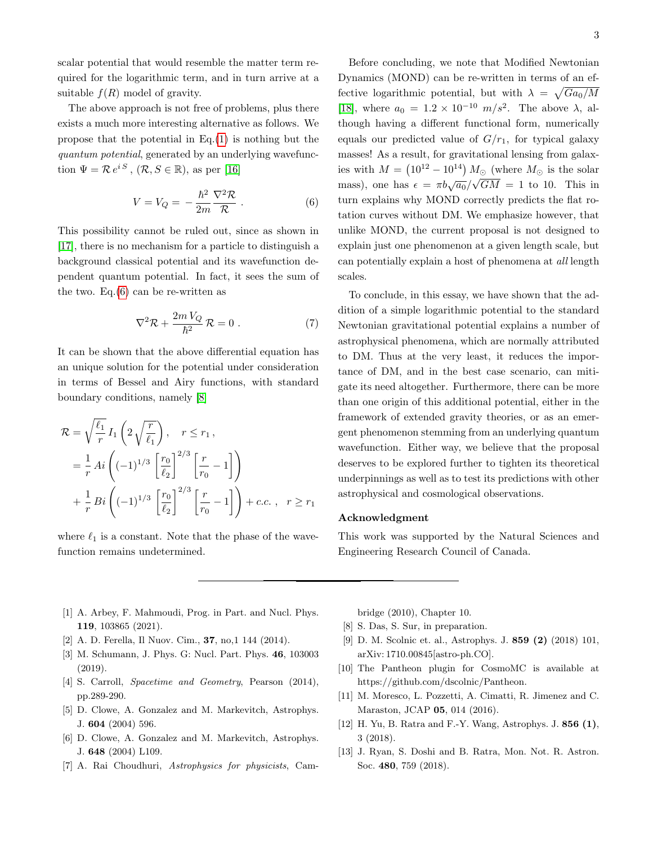scalar potential that would resemble the matter term required for the logarithmic term, and in turn arrive at a suitable  $f(R)$  model of gravity.

The above approach is not free of problems, plus there exists a much more interesting alternative as follows. We propose that the potential in  $Eq.(1)$  $Eq.(1)$  is nothing but the quantum potential, generated by an underlying wavefunction  $\Psi = \mathcal{R} e^{iS}, (\mathcal{R}, S \in \mathbb{R})$ , as per [\[16\]](#page-3-2)

<span id="page-2-12"></span>
$$
V = V_Q = -\frac{\hbar^2}{2m} \frac{\nabla^2 \mathcal{R}}{\mathcal{R}} . \tag{6}
$$

This possibility cannot be ruled out, since as shown in [\[17\]](#page-3-3), there is no mechanism for a particle to distinguish a background classical potential and its wavefunction dependent quantum potential. In fact, it sees the sum of the two. Eq. $(6)$  can be re-written as

$$
\nabla^2 \mathcal{R} + \frac{2m V_Q}{\hbar^2} \mathcal{R} = 0.
$$
 (7)

It can be shown that the above differential equation has an unique solution for the potential under consideration in terms of Bessel and Airy functions, with standard boundary conditions, namely [\[8\]](#page-2-7)

$$
\mathcal{R} = \sqrt{\frac{\ell_1}{r}} I_1 \left( 2\sqrt{\frac{r}{\ell_1}} \right), \quad r \le r_1,
$$
  

$$
= \frac{1}{r} Ai \left( (-1)^{1/3} \left[ \frac{r_0}{\ell_2} \right]^{2/3} \left[ \frac{r}{r_0} - 1 \right] \right)
$$
  

$$
+ \frac{1}{r} Bi \left( (-1)^{1/3} \left[ \frac{r_0}{\ell_2} \right]^{2/3} \left[ \frac{r}{r_0} - 1 \right] \right) + c.c., \quad r \ge r_1
$$

where  $\ell_1$  is a constant. Note that the phase of the wavefunction remains undetermined.

Before concluding, we note that Modified Newtonian Dynamics (MOND) can be re-written in terms of an effective logarithmic potential, but with  $\lambda = \sqrt{Ga_0/M}$ [\[18\]](#page-3-4), where  $a_0 = 1.2 \times 10^{-10}$   $m/s^2$ . The above  $\lambda$ , although having a different functional form, numerically equals our predicted value of  $G/r_1$ , for typical galaxy masses! As a result, for gravitational lensing from galaxies with  $M = (10^{12} - 10^{14}) M_{\odot}$  (where  $M_{\odot}$  is the solar mass), one has  $\epsilon = \pi b \sqrt{a_0}/\sqrt{GM} = 1$  to 10. This in turn explains why MOND correctly predicts the flat rotation curves without DM. We emphasize however, that unlike MOND, the current proposal is not designed to explain just one phenomenon at a given length scale, but can potentially explain a host of phenomena at all length scales.

To conclude, in this essay, we have shown that the addition of a simple logarithmic potential to the standard Newtonian gravitational potential explains a number of astrophysical phenomena, which are normally attributed to DM. Thus at the very least, it reduces the importance of DM, and in the best case scenario, can mitigate its need altogether. Furthermore, there can be more than one origin of this additional potential, either in the framework of extended gravity theories, or as an emergent phenomenon stemming from an underlying quantum wavefunction. Either way, we believe that the proposal deserves to be explored further to tighten its theoretical underpinnings as well as to test its predictions with other astrophysical and cosmological observations.

## Acknowledgment

This work was supported by the Natural Sciences and Engineering Research Council of Canada.

- <span id="page-2-0"></span>[1] A. Arbey, F. Mahmoudi, Prog. in Part. and Nucl. Phys. 119, 103865 (2021).
- <span id="page-2-2"></span><span id="page-2-1"></span>[2] A. D. Ferella, Il Nuov. Cim., 37, no,1 144 (2014).
- [3] M. Schumann, J. Phys. G: Nucl. Part. Phys. 46, 103003 (2019).
- <span id="page-2-3"></span>[4] S. Carroll, Spacetime and Geometry, Pearson (2014), pp.289-290.
- <span id="page-2-4"></span>[5] D. Clowe, A. Gonzalez and M. Markevitch, Astrophys. J. 604 (2004) 596.
- <span id="page-2-5"></span>[6] D. Clowe, A. Gonzalez and M. Markevitch, Astrophys. J. 648 (2004) L109.
- <span id="page-2-6"></span>[7] A. Rai Choudhuri, Astrophysics for physicists, Cam-

bridge (2010), Chapter 10.

- <span id="page-2-8"></span><span id="page-2-7"></span>[8] S. Das, S. Sur, in preparation.
- [9] D. M. Scolnic et. al., Astrophys. J. 859 (2) (2018) 101, arXiv: 1710.00845[astro-ph.CO].
- <span id="page-2-9"></span>[10] The Pantheon plugin for CosmoMC is available at https://github.com/dscolnic/Pantheon.
- <span id="page-2-10"></span>[11] M. Moresco, L. Pozzetti, A. Cimatti, R. Jimenez and C. Maraston, JCAP 05, 014 (2016).
- [12] H. Yu, B. Ratra and F.-Y. Wang, Astrophys. J. 856 (1), 3 (2018).
- <span id="page-2-11"></span>[13] J. Ryan, S. Doshi and B. Ratra, Mon. Not. R. Astron. Soc. 480, 759 (2018).